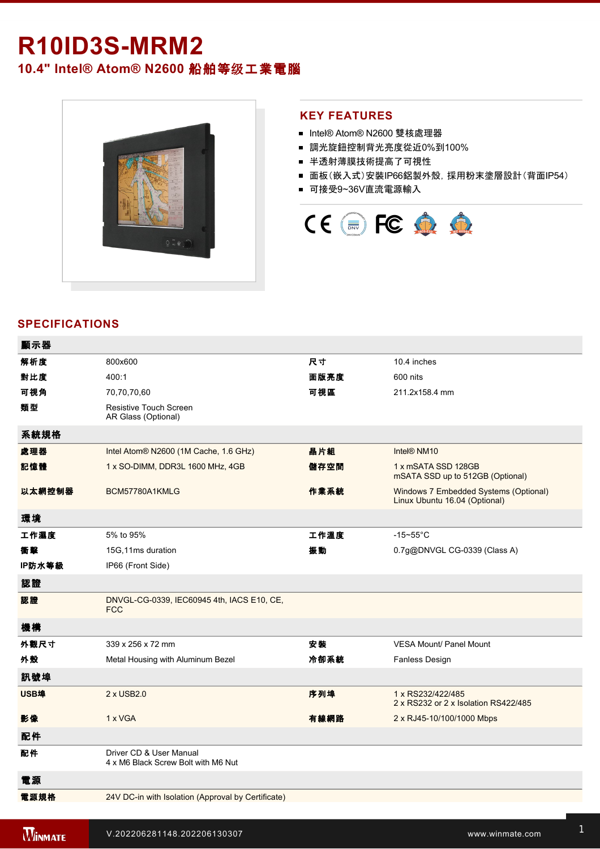# **R10ID3S-MRM2**

**10.4" Intel® Atom® N2600** 船舶等级工業電腦



### **KEY FEATURES**

- Intel® Atom® N2600 雙核處理器
- 調光旋鈕控制背光亮度從近0%到100%
- 半透射薄膜技術提高了可視性
- 面板(嵌入式)安裝IP66鋁製外殼, 採用粉末塗層設計(背面IP54)
- 可接受9~36V直流電源輸入



## **SPECIFICATIONS**

| 顯示器    |                                                                |      |                                                                        |
|--------|----------------------------------------------------------------|------|------------------------------------------------------------------------|
| 解析度    | 800x600                                                        | 尺寸   | 10.4 inches                                                            |
| 對比度    | 400:1                                                          | 面版亮度 | 600 nits                                                               |
| 可視角    | 70,70,70,60                                                    | 可視區  | 211.2x158.4 mm                                                         |
| 類型     | <b>Resistive Touch Screen</b><br>AR Glass (Optional)           |      |                                                                        |
| 系統規格   |                                                                |      |                                                                        |
| 處理器    | Intel Atom® N2600 (1M Cache, 1.6 GHz)                          | 晶片組  | Intel® NM10                                                            |
| 記憶體    | 1 x SO-DIMM, DDR3L 1600 MHz, 4GB                               | 儲存空間 | 1 x mSATA SSD 128GB<br>mSATA SSD up to 512GB (Optional)                |
| 以太網控制器 | BCM57780A1KMLG                                                 | 作業系統 | Windows 7 Embedded Systems (Optional)<br>Linux Ubuntu 16.04 (Optional) |
| 環境     |                                                                |      |                                                                        |
| 工作濕度   | 5% to 95%                                                      | 工作溫度 | $-15 - 55$ °C                                                          |
| 衝擊     | 15G,11ms duration                                              | 振動   | 0.7g@DNVGL CG-0339 (Class A)                                           |
| IP防水等級 | IP66 (Front Side)                                              |      |                                                                        |
| 認證     |                                                                |      |                                                                        |
| 認證     | DNVGL-CG-0339, IEC60945 4th, IACS E10, CE,<br><b>FCC</b>       |      |                                                                        |
| 機構     |                                                                |      |                                                                        |
| 外觀尺寸   | 339 x 256 x 72 mm                                              | 安装   | <b>VESA Mount/ Panel Mount</b>                                         |
| 外殼     | Metal Housing with Aluminum Bezel                              | 冷卻系統 | <b>Fanless Design</b>                                                  |
| 訊號埠    |                                                                |      |                                                                        |
| USB埠   | 2 x USB2.0                                                     | 序列埠  | 1 x RS232/422/485<br>2 x RS232 or 2 x Isolation RS422/485              |
| 影像     | 1 x VGA                                                        | 有線網路 | 2 x RJ45-10/100/1000 Mbps                                              |
| 配件     |                                                                |      |                                                                        |
| 配件     | Driver CD & User Manual<br>4 x M6 Black Screw Bolt with M6 Nut |      |                                                                        |
| 電源     |                                                                |      |                                                                        |
| 電源規格   | 24V DC-in with Isolation (Approval by Certificate)             |      |                                                                        |
|        |                                                                |      |                                                                        |

控制 WAN 1 X POWER BUTTON

1 x Reset Button and the Company of the Company of the Company of the Company of the Company of the Company of